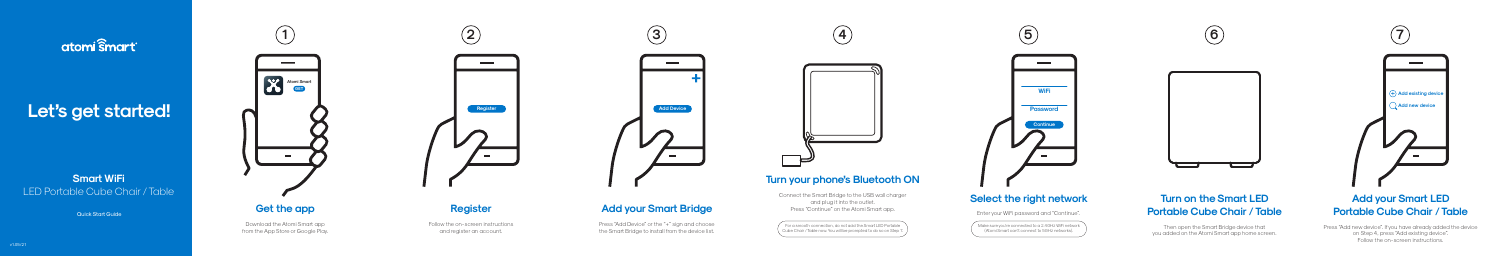## atomi smart

# Let's get started!

## **Smart WiFi** LED Portable Cube Chair / Table

**Quick Start Guide** 

Download the Atomi Smart app from the App Store or Google Play.



Press "Add Device" or the "+" sign and choose the Smart Bridge to install from the device list.

Follow the on-screen instructions and register an account.

## **Add your Smart Bridge**

Make sure you're connected to a 2.4GHz WiFi network (Atomi Smart can't connect to 5GHz networks).

## **Turn on the Smart LED Portable Cube Chair / Table**

Then open the Smart Bridge device that you added on the Atomi Smart app home screen.

Press "Add new device". If you have already added the device on Step 4, press "Add existing device". Follow the on-screen instructions. v1.05/21



#### **Add your Smart LED Portable Cube Chair / Table**

For a smooth connection, do not add the Smart LED Portable Cube Chair / Table now. You will be prompted to do so on Step 7.

# $\sim$ **WiFi Password Continue**



## **Turn your phone's Bluetooth ON**

Connect the Smart Bridge to the USB wall charger and plug it into the outlet. Press "Continue" on the Atomi Smart app.

## **Select the right network**

Enter your WiFi password and "Continue".